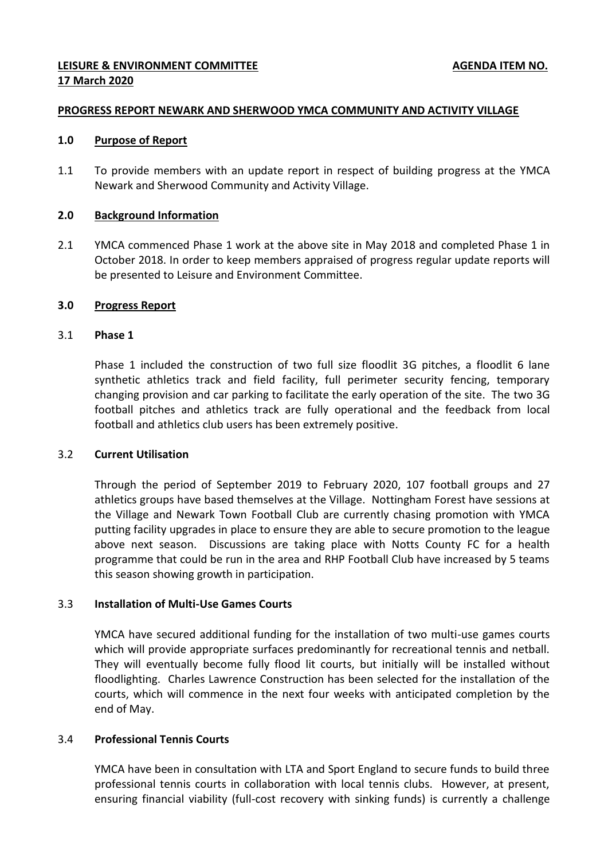## **LEISURE & ENVIRONMENT COMMITTEE AGENDA ITEM NO. AGENDA ITEM NO. 17 March 2020**

#### **PROGRESS REPORT NEWARK AND SHERWOOD YMCA COMMUNITY AND ACTIVITY VILLAGE**

#### **1.0 Purpose of Report**

1.1 To provide members with an update report in respect of building progress at the YMCA Newark and Sherwood Community and Activity Village.

#### **2.0 Background Information**

2.1 YMCA commenced Phase 1 work at the above site in May 2018 and completed Phase 1 in October 2018. In order to keep members appraised of progress regular update reports will be presented to Leisure and Environment Committee.

#### **3.0 Progress Report**

#### 3.1 **Phase 1**

Phase 1 included the construction of two full size floodlit 3G pitches, a floodlit 6 lane synthetic athletics track and field facility, full perimeter security fencing, temporary changing provision and car parking to facilitate the early operation of the site. The two 3G football pitches and athletics track are fully operational and the feedback from local football and athletics club users has been extremely positive.

#### 3.2 **Current Utilisation**

Through the period of September 2019 to February 2020, 107 football groups and 27 athletics groups have based themselves at the Village. Nottingham Forest have sessions at the Village and Newark Town Football Club are currently chasing promotion with YMCA putting facility upgrades in place to ensure they are able to secure promotion to the league above next season. Discussions are taking place with Notts County FC for a health programme that could be run in the area and RHP Football Club have increased by 5 teams this season showing growth in participation.

#### 3.3 **Installation of Multi-Use Games Courts**

YMCA have secured additional funding for the installation of two multi-use games courts which will provide appropriate surfaces predominantly for recreational tennis and netball. They will eventually become fully flood lit courts, but initially will be installed without floodlighting. Charles Lawrence Construction has been selected for the installation of the courts, which will commence in the next four weeks with anticipated completion by the end of May.

## 3.4 **Professional Tennis Courts**

YMCA have been in consultation with LTA and Sport England to secure funds to build three professional tennis courts in collaboration with local tennis clubs. However, at present, ensuring financial viability (full-cost recovery with sinking funds) is currently a challenge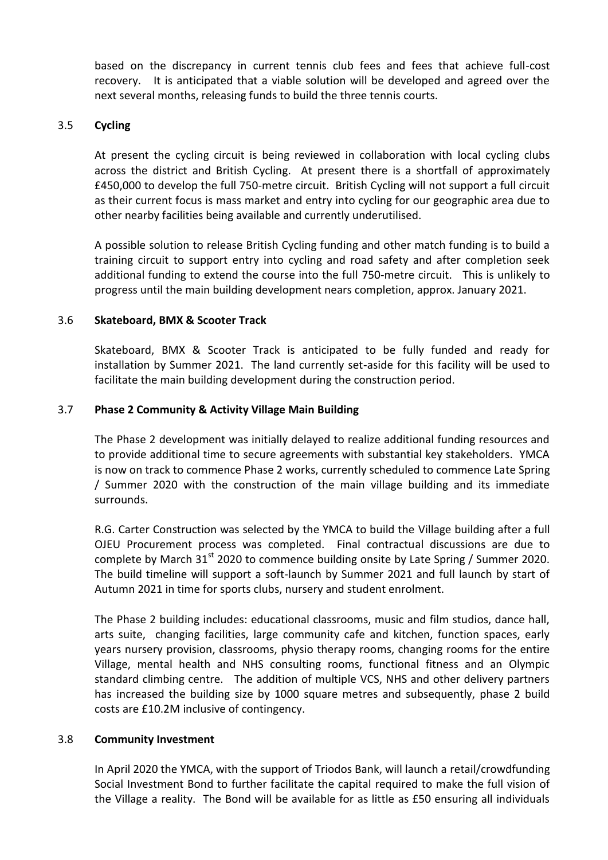based on the discrepancy in current tennis club fees and fees that achieve full-cost recovery. It is anticipated that a viable solution will be developed and agreed over the next several months, releasing funds to build the three tennis courts.

## 3.5 **Cycling**

At present the cycling circuit is being reviewed in collaboration with local cycling clubs across the district and British Cycling. At present there is a shortfall of approximately £450,000 to develop the full 750-metre circuit. British Cycling will not support a full circuit as their current focus is mass market and entry into cycling for our geographic area due to other nearby facilities being available and currently underutilised.

A possible solution to release British Cycling funding and other match funding is to build a training circuit to support entry into cycling and road safety and after completion seek additional funding to extend the course into the full 750-metre circuit. This is unlikely to progress until the main building development nears completion, approx. January 2021.

# 3.6 **Skateboard, BMX & Scooter Track**

Skateboard, BMX & Scooter Track is anticipated to be fully funded and ready for installation by Summer 2021. The land currently set-aside for this facility will be used to facilitate the main building development during the construction period.

# 3.7 **Phase 2 Community & Activity Village Main Building**

The Phase 2 development was initially delayed to realize additional funding resources and to provide additional time to secure agreements with substantial key stakeholders. YMCA is now on track to commence Phase 2 works, currently scheduled to commence Late Spring / Summer 2020 with the construction of the main village building and its immediate surrounds.

R.G. Carter Construction was selected by the YMCA to build the Village building after a full OJEU Procurement process was completed. Final contractual discussions are due to complete by March  $31^{st}$  2020 to commence building onsite by Late Spring / Summer 2020. The build timeline will support a soft-launch by Summer 2021 and full launch by start of Autumn 2021 in time for sports clubs, nursery and student enrolment.

The Phase 2 building includes: educational classrooms, music and film studios, dance hall, arts suite, changing facilities, large community cafe and kitchen, function spaces, early years nursery provision, classrooms, physio therapy rooms, changing rooms for the entire Village, mental health and NHS consulting rooms, functional fitness and an Olympic standard climbing centre. The addition of multiple VCS, NHS and other delivery partners has increased the building size by 1000 square metres and subsequently, phase 2 build costs are £10.2M inclusive of contingency.

#### 3.8 **Community Investment**

In April 2020 the YMCA, with the support of Triodos Bank, will launch a retail/crowdfunding Social Investment Bond to further facilitate the capital required to make the full vision of the Village a reality. The Bond will be available for as little as £50 ensuring all individuals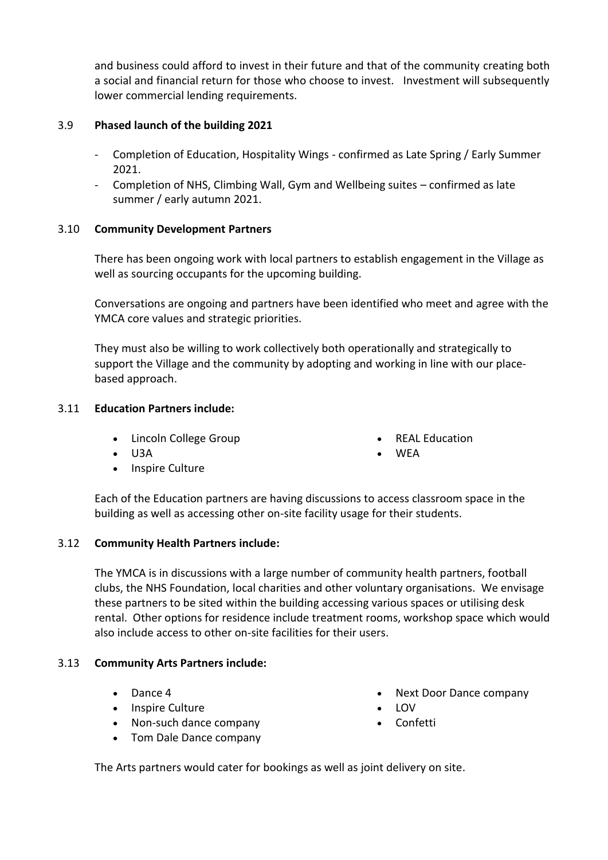and business could afford to invest in their future and that of the community creating both a social and financial return for those who choose to invest. Investment will subsequently lower commercial lending requirements.

# 3.9 **Phased launch of the building 2021**

- Completion of Education, Hospitality Wings confirmed as Late Spring / Early Summer 2021.
- Completion of NHS, Climbing Wall, Gym and Wellbeing suites confirmed as late summer / early autumn 2021.

# 3.10 **Community Development Partners**

There has been ongoing work with local partners to establish engagement in the Village as well as sourcing occupants for the upcoming building.

Conversations are ongoing and partners have been identified who meet and agree with the YMCA core values and strategic priorities.

They must also be willing to work collectively both operationally and strategically to support the Village and the community by adopting and working in line with our placebased approach.

# 3.11 **Education Partners include:**

- Lincoln College Group
- $\bullet$  U3A
- Inspire Culture
- REAL Education
- **WEA**

Each of the Education partners are having discussions to access classroom space in the building as well as accessing other on-site facility usage for their students.

# 3.12 **Community Health Partners include:**

The YMCA is in discussions with a large number of community health partners, football clubs, the NHS Foundation, local charities and other voluntary organisations. We envisage these partners to be sited within the building accessing various spaces or utilising desk rental. Other options for residence include treatment rooms, workshop space which would also include access to other on-site facilities for their users.

# 3.13 **Community Arts Partners include:**

- Dance 4
- Inspire Culture
- Non-such dance company
- Tom Dale Dance company
- Next Door Dance company
- LOV
- Confetti

The Arts partners would cater for bookings as well as joint delivery on site.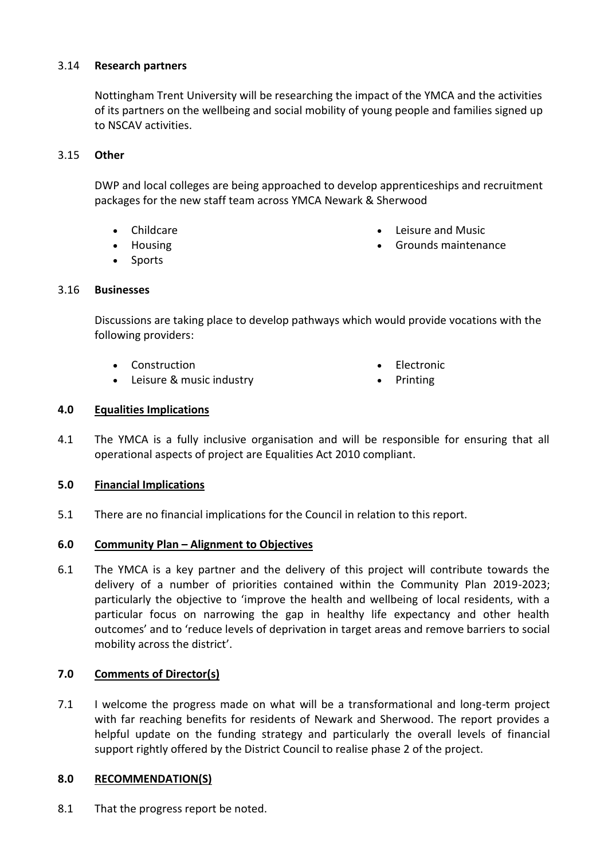# 3.14 **Research partners**

Nottingham Trent University will be researching the impact of the YMCA and the activities of its partners on the wellbeing and social mobility of young people and families signed up to NSCAV activities.

# 3.15 **Other**

DWP and local colleges are being approached to develop apprenticeships and recruitment packages for the new staff team across YMCA Newark & Sherwood

- Childcare
- Housing
- Sports
- 3.16 **Businesses**
- Leisure and Music
- Grounds maintenance

Discussions are taking place to develop pathways which would provide vocations with the following providers:

- Construction
- Leisure & music industry
- Electronic
- Printing

# **4.0 Equalities Implications**

4.1 The YMCA is a fully inclusive organisation and will be responsible for ensuring that all operational aspects of project are Equalities Act 2010 compliant.

#### **5.0 Financial Implications**

5.1 There are no financial implications for the Council in relation to this report.

#### **6.0 Community Plan – Alignment to Objectives**

6.1 The YMCA is a key partner and the delivery of this project will contribute towards the delivery of a number of priorities contained within the Community Plan 2019-2023; particularly the objective to 'improve the health and wellbeing of local residents, with a particular focus on narrowing the gap in healthy life expectancy and other health outcomes' and to 'reduce levels of deprivation in target areas and remove barriers to social mobility across the district'.

# **7.0 Comments of Director(s)**

7.1 I welcome the progress made on what will be a transformational and long-term project with far reaching benefits for residents of Newark and Sherwood. The report provides a helpful update on the funding strategy and particularly the overall levels of financial support rightly offered by the District Council to realise phase 2 of the project.

#### **8.0 RECOMMENDATION(S)**

8.1 That the progress report be noted.